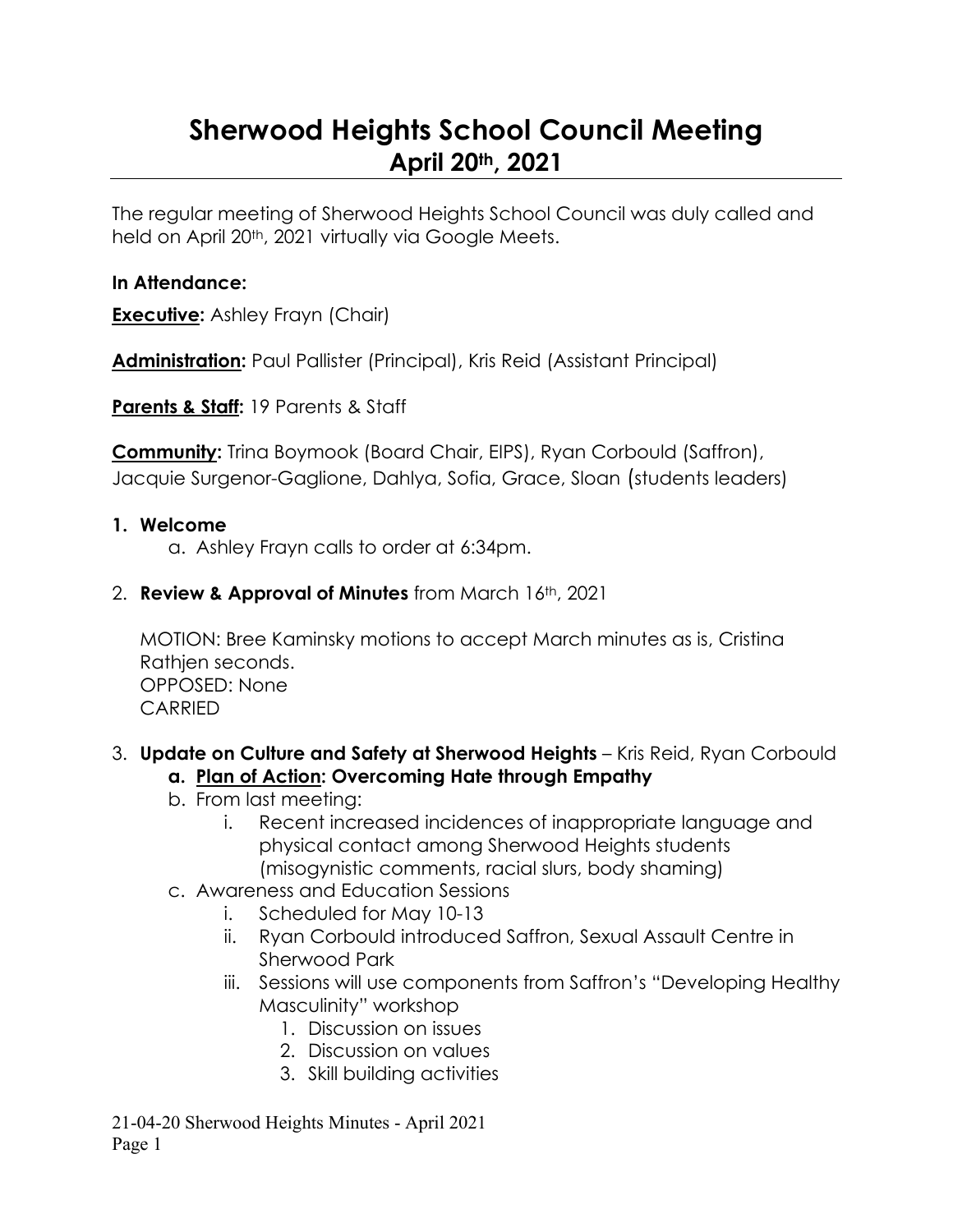# **Sherwood Heights School Council Meeting April 20th, 2021**

The regular meeting of Sherwood Heights School Council was duly called and held on April 20<sup>th</sup>, 2021 virtually via Google Meets.

#### **In Attendance:**

**Executive:** Ashley Frayn (Chair)

**Administration:** Paul Pallister (Principal), Kris Reid (Assistant Principal)

**Parents & Staff:** 19 Parents & Staff

**Community:** Trina Boymook (Board Chair, EIPS), Ryan Corbould (Saffron), Jacquie Surgenor-Gaglione, Dahlya, Sofia, Grace, Sloan (students leaders)

#### **1. Welcome**

a. Ashley Frayn calls to order at 6:34pm.

2. **Review & Approval of Minutes** from March 16th, 2021

MOTION: Bree Kaminsky motions to accept March minutes as is, Cristina Rathjen seconds. OPPOSED: None CARRIED

# 3. **Update on Culture and Safety at Sherwood Heights** – Kris Reid, Ryan Corbould

#### **a. Plan of Action: Overcoming Hate through Empathy**

- b. From last meeting:
	- i. Recent increased incidences of inappropriate language and physical contact among Sherwood Heights students (misogynistic comments, racial slurs, body shaming)
- c. Awareness and Education Sessions
	- i. Scheduled for May 10-13
	- ii. Ryan Corbould introduced Saffron, Sexual Assault Centre in Sherwood Park
	- iii. Sessions will use components from Saffron's "Developing Healthy Masculinity" workshop
		- 1. Discussion on issues
		- 2. Discussion on values
		- 3. Skill building activities

21-04-20 Sherwood Heights Minutes - April 2021 Page 1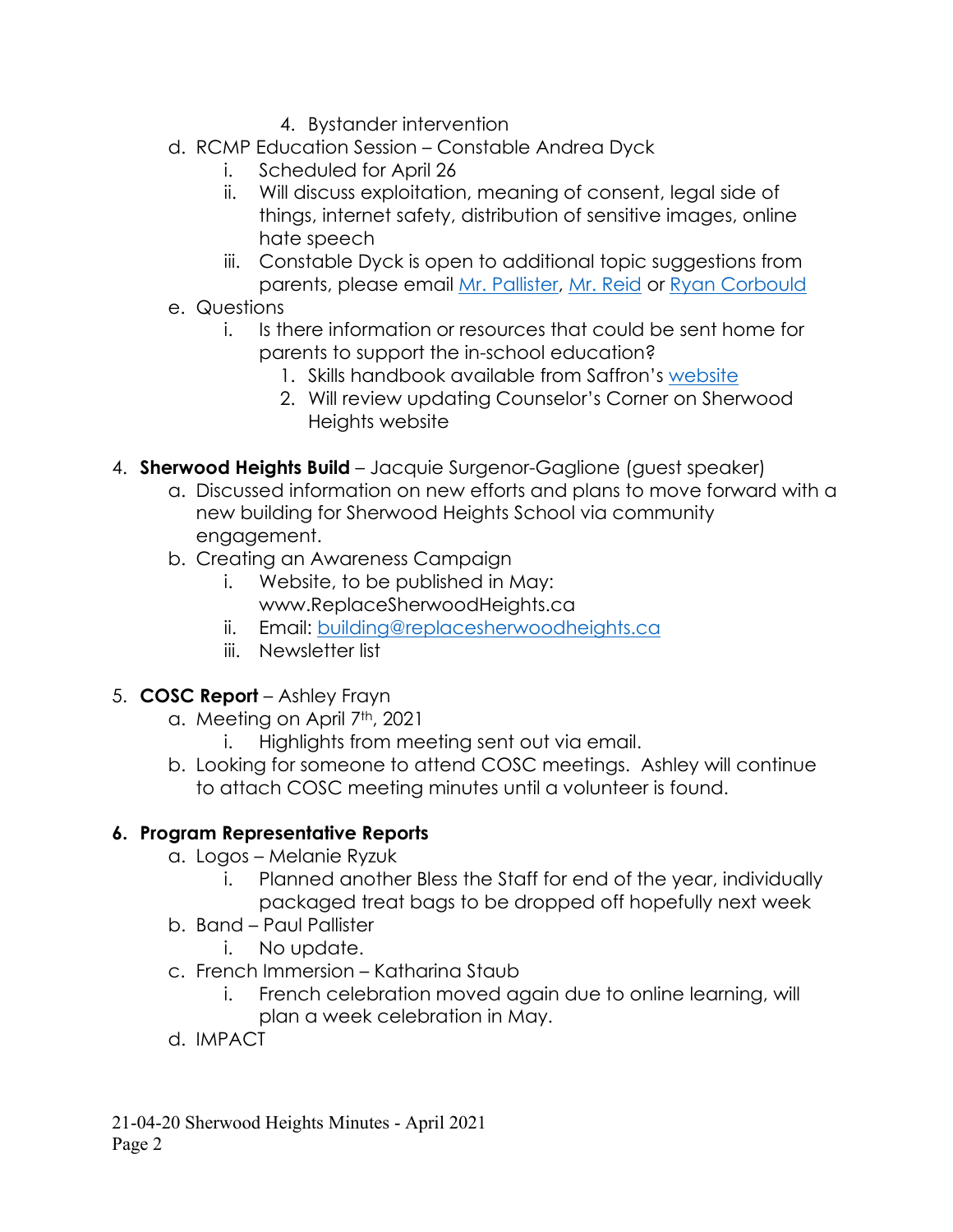- 4. Bystander intervention
- d. RCMP Education Session Constable Andrea Dyck
	- i. Scheduled for April 26
	- ii. Will discuss exploitation, meaning of consent, legal side of things, internet safety, distribution of sensitive images, online hate speech
	- iii. Constable Dyck is open to additional topic suggestions from parents, please email [Mr. Pallister,](mailto:Paul.Pallister@eips.ca) [Mr. Reid](mailto:kris.reid@eips.ca) or [Ryan Corbould](mailto:ryanc@saffroncentre.com)
- e. Questions
	- i. Is there information or resources that could be sent home for parents to support the in-school education?
		- 1. Skills handbook available from Saffron's [website](https://www.saffroncentre.com/)
		- 2. Will review updating Counselor's Corner on Sherwood Heights website
- 4. **Sherwood Heights Build** Jacquie Surgenor-Gaglione (guest speaker)
	- a. Discussed information on new efforts and plans to move forward with a new building for Sherwood Heights School via community engagement.
	- b. Creating an Awareness Campaign
		- i. Website, to be published in May: www.ReplaceSherwoodHeights.ca
		- ii. Email: [building@replacesherwoodheights.ca](mailto:building@replacesherwoodheights.ca)
		- iii. Newsletter list
- 5. **COSC Report**  Ashley Frayn
	- a. Meeting on April 7<sup>th</sup>, 2021
		- i. Highlights from meeting sent out via email.
	- b. Looking for someone to attend COSC meetings. Ashley will continue to attach COSC meeting minutes until a volunteer is found.

# **6. Program Representative Reports**

- a. Logos Melanie Ryzuk
	- i. Planned another Bless the Staff for end of the year, individually packaged treat bags to be dropped off hopefully next week
- b. Band Paul Pallister
	- i. No update.
- c. French Immersion Katharina Staub
	- i. French celebration moved again due to online learning, will plan a week celebration in May.
- d. IMPACT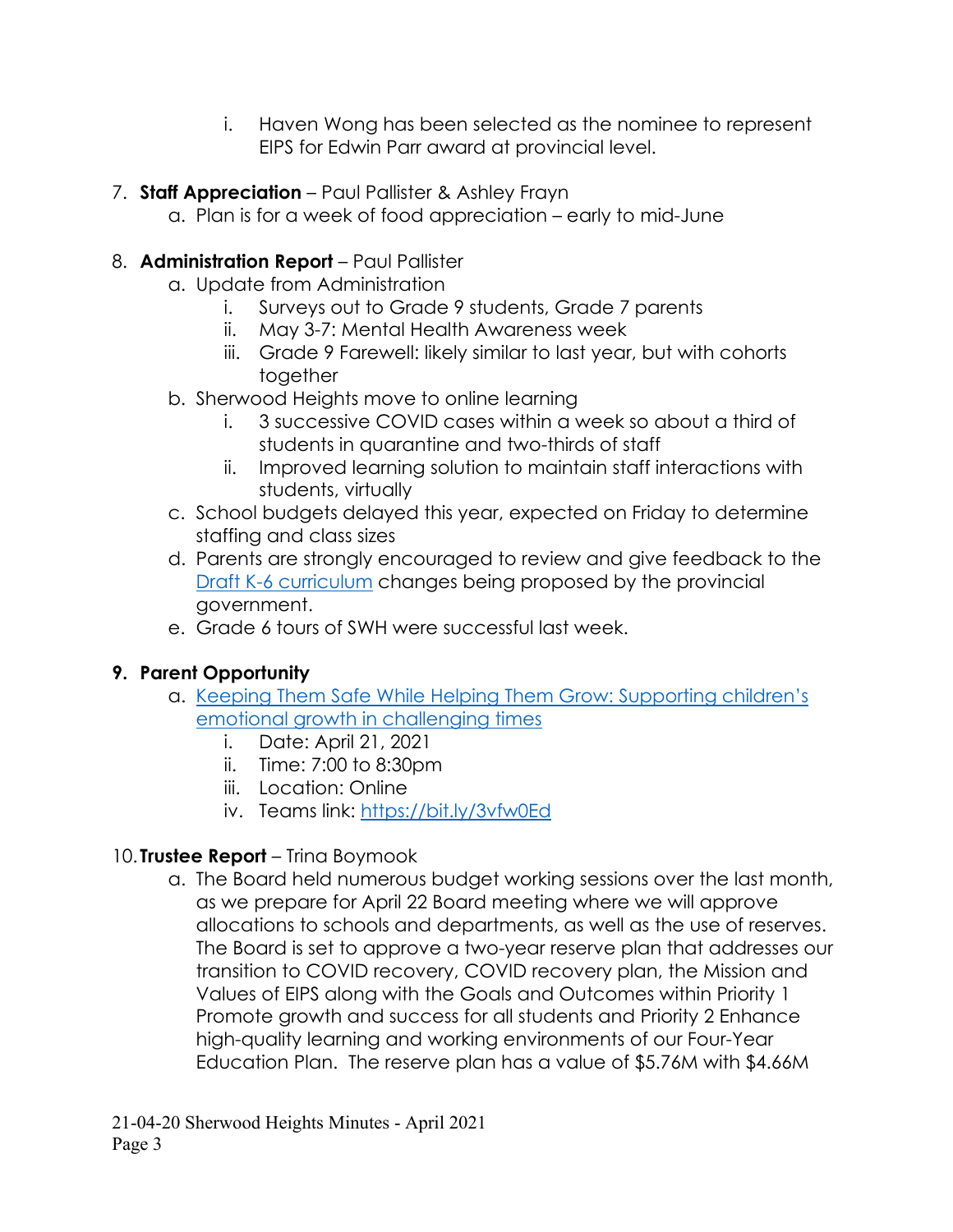- i. Haven Wong has been selected as the nominee to represent EIPS for Edwin Parr award at provincial level.
- 7. **Staff Appreciation**  Paul Pallister & Ashley Frayn
	- a. Plan is for a week of food appreciation early to mid-June

#### 8. **Administration Report** – Paul Pallister

- a. Update from Administration
	- i. Surveys out to Grade 9 students, Grade 7 parents
	- ii. May 3-7: Mental Health Awareness week
	- iii. Grade 9 Farewell: likely similar to last year, but with cohorts together
- b. Sherwood Heights move to online learning
	- i. 3 successive COVID cases within a week so about a third of students in quarantine and two-thirds of staff
	- ii. Improved learning solution to maintain staff interactions with students, virtually
- c. School budgets delayed this year, expected on Friday to determine staffing and class sizes
- d. Parents are strongly encouraged to review and give feedback to the [Draft K-6 curriculum](https://www.alberta.ca/curriculum.aspx?utm_source=bing&utm_medium=cpc&utm_campaign=K-6%20Curriculum%20Campaign%20-%20Search%20-%20March%202021&utm_term=alberta%20curriculum&utm_content=General) changes being proposed by the provincial government.
- e. Grade 6 tours of SWH were successful last week.

## **9. Parent Opportunity**

- a. [Keeping Them Safe While Helping Them Grow: Supporting children's](https://www.eips.ca/calendar#month/2021/04/event/2021/04/21/426511)  [emotional growth in challenging times](https://www.eips.ca/calendar#month/2021/04/event/2021/04/21/426511)
	- i. Date: April 21, 2021
	- ii. Time: 7:00 to 8:30pm
	- iii. Location: Online
	- iv. Teams link:<https://bit.ly/3vfw0Ed>

## 10. **Trustee Report** – Trina Boymook

a. The Board held numerous budget working sessions over the last month, as we prepare for April 22 Board meeting where we will approve allocations to schools and departments, as well as the use of reserves. The Board is set to approve a two-year reserve plan that addresses our transition to COVID recovery, COVID recovery plan, the Mission and Values of EIPS along with the Goals and Outcomes within Priority 1 Promote growth and success for all students and Priority 2 Enhance high-quality learning and working environments of our Four-Year Education Plan. The reserve plan has a value of \$5.76M with \$4.66M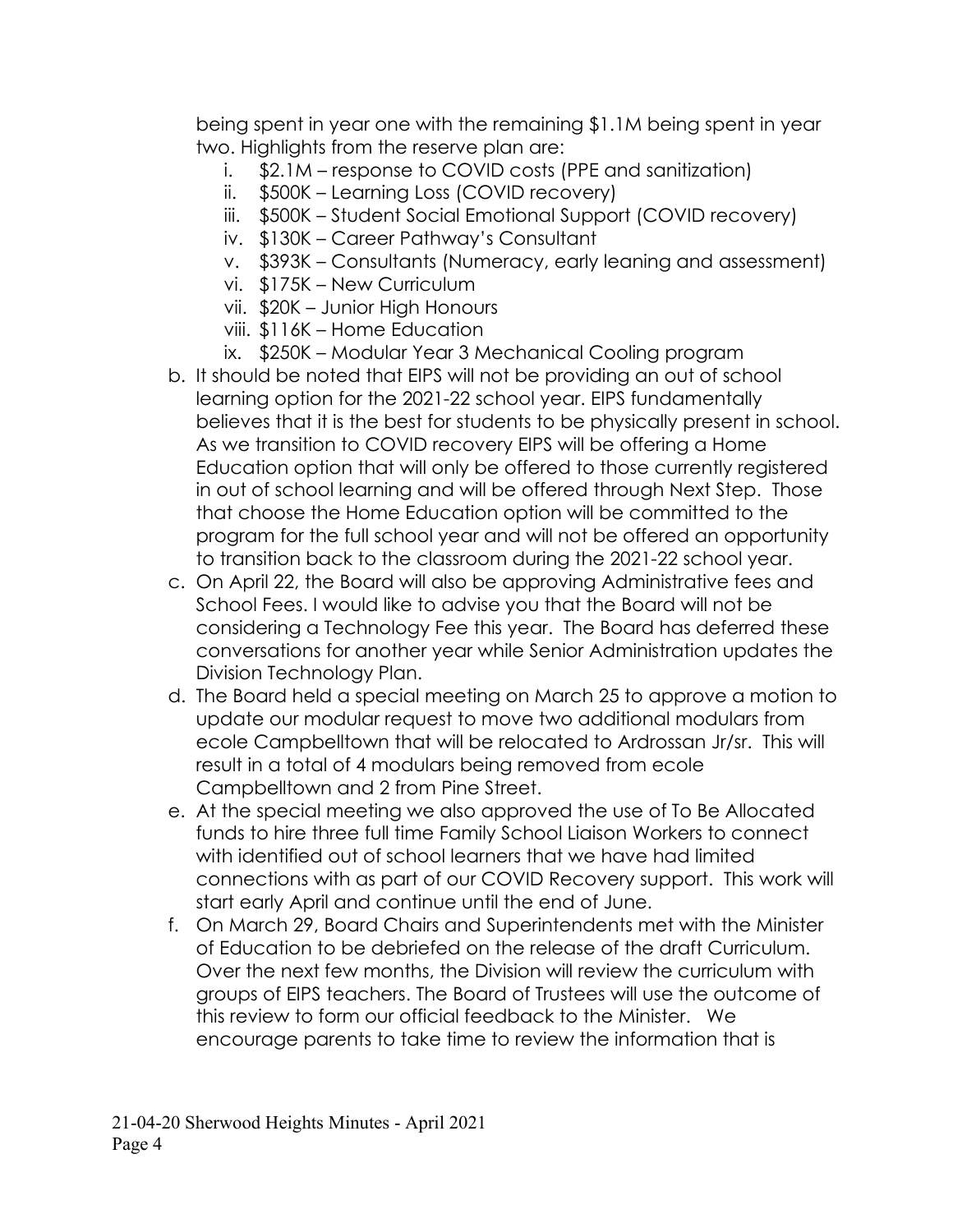being spent in year one with the remaining \$1.1M being spent in year two. Highlights from the reserve plan are:

- i. \$2.1M response to COVID costs (PPE and sanitization)
- ii. \$500K Learning Loss (COVID recovery)
- iii. \$500K Student Social Emotional Support (COVID recovery)
- iv. \$130K Career Pathway's Consultant
- v. \$393K Consultants (Numeracy, early leaning and assessment)
- vi. \$175K New Curriculum
- vii. \$20K Junior High Honours
- viii. \$116K Home Education
- ix. \$250K Modular Year 3 Mechanical Cooling program
- b. It should be noted that EIPS will not be providing an out of school learning option for the 2021-22 school year. EIPS fundamentally believes that it is the best for students to be physically present in school. As we transition to COVID recovery EIPS will be offering a Home Education option that will only be offered to those currently registered in out of school learning and will be offered through Next Step. Those that choose the Home Education option will be committed to the program for the full school year and will not be offered an opportunity to transition back to the classroom during the 2021-22 school year.
- c. On April 22, the Board will also be approving Administrative fees and School Fees. I would like to advise you that the Board will not be considering a Technology Fee this year. The Board has deferred these conversations for another year while Senior Administration updates the Division Technology Plan.
- d. The Board held a special meeting on March 25 to approve a motion to update our modular request to move two additional modulars from ecole Campbelltown that will be relocated to Ardrossan Jr/sr. This will result in a total of 4 modulars being removed from ecole Campbelltown and 2 from Pine Street.
- e. At the special meeting we also approved the use of To Be Allocated funds to hire three full time Family School Liaison Workers to connect with identified out of school learners that we have had limited connections with as part of our COVID Recovery support. This work will start early April and continue until the end of June.
- f. On March 29, Board Chairs and Superintendents met with the Minister of Education to be debriefed on the release of the draft Curriculum. Over the next few months, the Division will review the curriculum with groups of EIPS teachers. The Board of Trustees will use the outcome of this review to form our official feedback to the Minister. We encourage parents to take time to review the information that is